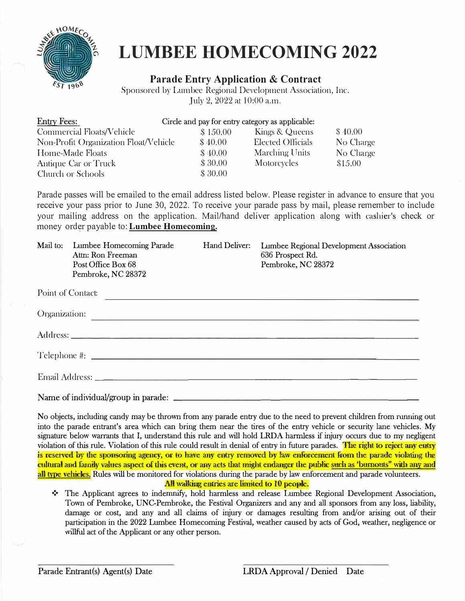

# **LUMBEE HOMECOMING 2022**

#### **Parade Entry Application & Contract**

Sponsored by Lumbee Regional Development Association, Inc. July 2, 2022 at 10:00 a.m.

| <b>Entry Fees:</b>                    | Circle and pay for entry category as applicable: |                          |           |
|---------------------------------------|--------------------------------------------------|--------------------------|-----------|
| Commercial Floats/Vehicle             | \$150.00                                         | Kings & Queens           | \$40.00   |
| Non-Profit Organization Float/Vehicle | \$40.00                                          | <b>Elected Officials</b> | No Charge |
| Home-Made Floats                      | \$40.00                                          | Marching Units           | No Charge |
| Antique Car or Truck                  | \$30.00                                          | Motorcycles              | \$15.00   |
| Church or Schools                     | \$30.00                                          |                          |           |

Parade passes will be emailed to the email address listed below. Please register in advance to ensure that you receive your pass prior to June 30, 2022. To receive your parade pass by mail, please remember to include your mailing address on the application. Mail/hand deliver application along with cashier's check or money order payable to: **Lumbee Homecoming.** 

|                   | Mail to: Lumbee Homecoming Parade<br>Attn: Ron Freeman<br>Post Office Box 68<br>Pembroke, NC 28372 | Hand Deliver: | Lumbee Regional Development Association<br>636 Prospect Rd.<br>Pembroke, NC 28372                                       |
|-------------------|----------------------------------------------------------------------------------------------------|---------------|-------------------------------------------------------------------------------------------------------------------------|
| Point of Contact: |                                                                                                    |               | <u> 1980 - Jan Samuel Barbara, martin a shekara tsara 1980 - An tsara 1980 - An tsara 1980 - An tsara 1980 - An tsa</u> |
|                   |                                                                                                    |               |                                                                                                                         |
|                   |                                                                                                    |               |                                                                                                                         |
|                   | Telephone #:                                                                                       |               |                                                                                                                         |
|                   |                                                                                                    |               |                                                                                                                         |
|                   |                                                                                                    |               |                                                                                                                         |

No objects, including candy may be thrown from any parade entry due to the need to prevent children from running out into the parade entrant's area which can bring them near the tires of the entry vehicle or security lane vehicles. My signature below warrants that I, understand this rule and will hold LRDA harmless if injury occurs due to my negligent violation of this rule. Violation of this rule could result in denial of entry in future parades. The right to reject any entry is reserved by the sponsoring agency, or to have any entry removed by law enforcement from the parade violating the cultural and family values aspect of this event, or any acts that might endanger the public such as 'burnouts" with any and all type vehicles. Rules will be monitored for violations during the parade by law enforcement and parade volunteers. All walking entries are limited to 10 people.

❖ The Applicant agrees to indemnify, hold harmless and release Lumbee Regional Development Association, Town of Pembroke, UNC-Pembroke, the Festival Organizers and any and all sponsors from any loss, liability, damage or cost, and any and all claims of injury or damages resulting from and/or arising out of their willful act of the Applicant or any other person. participation in the 2022 Lumbee Homecoming Festival, weather caused by acts of God, weather, negligence or